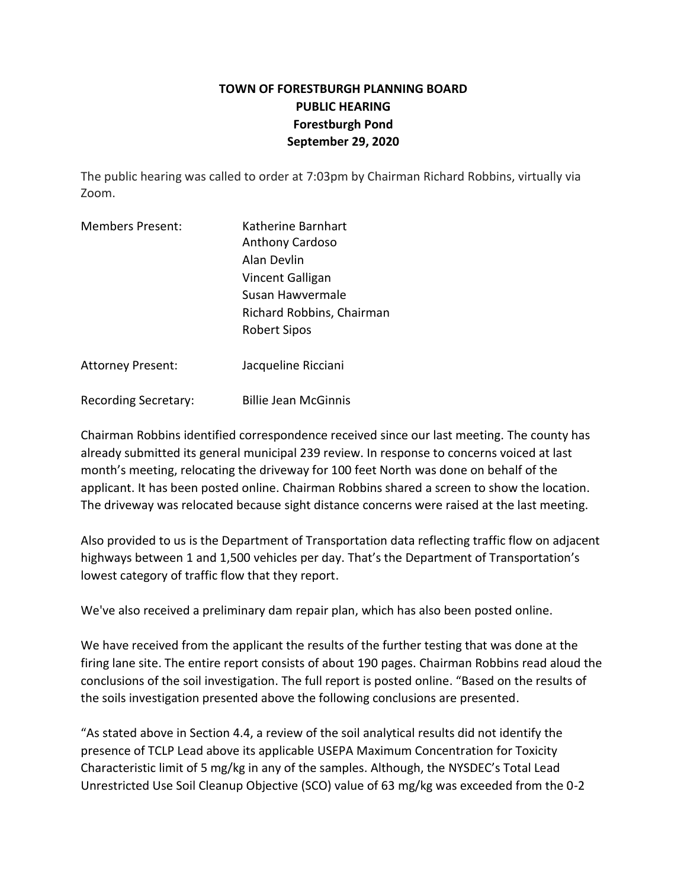## **TOWN OF FORESTBURGH PLANNING BOARD PUBLIC HEARING Forestburgh Pond September 29, 2020**

The public hearing was called to order at 7:03pm by Chairman Richard Robbins, virtually via Zoom.

| <b>Members Present:</b> | Katherine Barnhart        |  |
|-------------------------|---------------------------|--|
|                         | Anthony Cardoso           |  |
|                         | Alan Devlin               |  |
|                         | Vincent Galligan          |  |
|                         | Susan Hawvermale          |  |
|                         | Richard Robbins, Chairman |  |
|                         | <b>Robert Sipos</b>       |  |
|                         |                           |  |

Attorney Present: Jacqueline Ricciani

Recording Secretary: Billie Jean McGinnis

Chairman Robbins identified correspondence received since our last meeting. The county has already submitted its general municipal 239 review. In response to concerns voiced at last month's meeting, relocating the driveway for 100 feet North was done on behalf of the applicant. It has been posted online. Chairman Robbins shared a screen to show the location. The driveway was relocated because sight distance concerns were raised at the last meeting.

Also provided to us is the Department of Transportation data reflecting traffic flow on adjacent highways between 1 and 1,500 vehicles per day. That's the Department of Transportation's lowest category of traffic flow that they report.

We've also received a preliminary dam repair plan, which has also been posted online.

We have received from the applicant the results of the further testing that was done at the firing lane site. The entire report consists of about 190 pages. Chairman Robbins read aloud the conclusions of the soil investigation. The full report is posted online. "Based on the results of the soils investigation presented above the following conclusions are presented.

"As stated above in Section 4.4, a review of the soil analytical results did not identify the presence of TCLP Lead above its applicable USEPA Maximum Concentration for Toxicity Characteristic limit of 5 mg/kg in any of the samples. Although, the NYSDEC's Total Lead Unrestricted Use Soil Cleanup Objective (SCO) value of 63 mg/kg was exceeded from the 0-2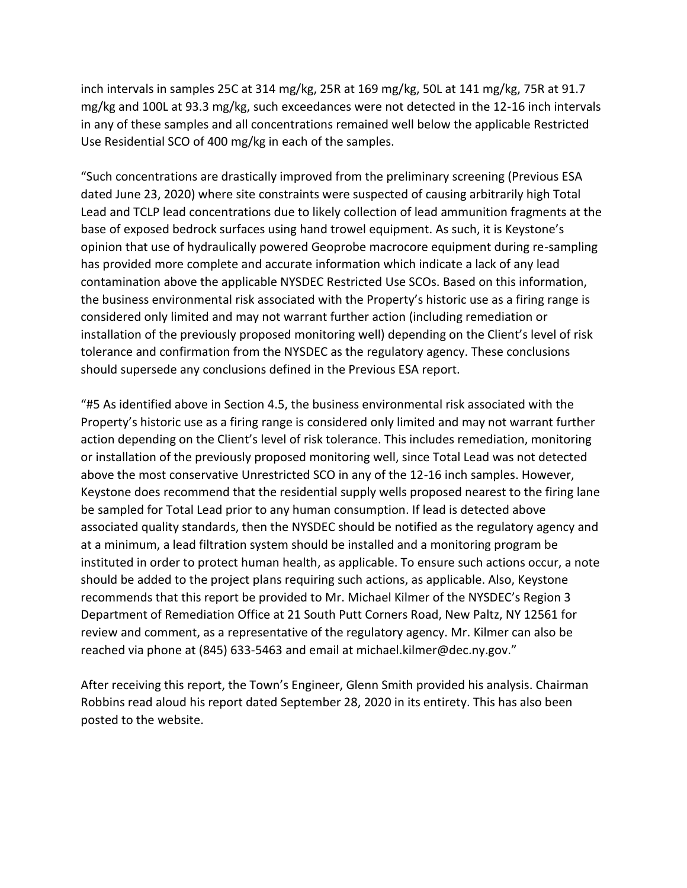inch intervals in samples 25C at 314 mg/kg, 25R at 169 mg/kg, 50L at 141 mg/kg, 75R at 91.7 mg/kg and 100L at 93.3 mg/kg, such exceedances were not detected in the 12-16 inch intervals in any of these samples and all concentrations remained well below the applicable Restricted Use Residential SCO of 400 mg/kg in each of the samples.

"Such concentrations are drastically improved from the preliminary screening (Previous ESA dated June 23, 2020) where site constraints were suspected of causing arbitrarily high Total Lead and TCLP lead concentrations due to likely collection of lead ammunition fragments at the base of exposed bedrock surfaces using hand trowel equipment. As such, it is Keystone's opinion that use of hydraulically powered Geoprobe macrocore equipment during re-sampling has provided more complete and accurate information which indicate a lack of any lead contamination above the applicable NYSDEC Restricted Use SCOs. Based on this information, the business environmental risk associated with the Property's historic use as a firing range is considered only limited and may not warrant further action (including remediation or installation of the previously proposed monitoring well) depending on the Client's level of risk tolerance and confirmation from the NYSDEC as the regulatory agency. These conclusions should supersede any conclusions defined in the Previous ESA report.

"#5 As identified above in Section 4.5, the business environmental risk associated with the Property's historic use as a firing range is considered only limited and may not warrant further action depending on the Client's level of risk tolerance. This includes remediation, monitoring or installation of the previously proposed monitoring well, since Total Lead was not detected above the most conservative Unrestricted SCO in any of the 12-16 inch samples. However, Keystone does recommend that the residential supply wells proposed nearest to the firing lane be sampled for Total Lead prior to any human consumption. If lead is detected above associated quality standards, then the NYSDEC should be notified as the regulatory agency and at a minimum, a lead filtration system should be installed and a monitoring program be instituted in order to protect human health, as applicable. To ensure such actions occur, a note should be added to the project plans requiring such actions, as applicable. Also, Keystone recommends that this report be provided to Mr. Michael Kilmer of the NYSDEC's Region 3 Department of Remediation Office at 21 South Putt Corners Road, New Paltz, NY 12561 for review and comment, as a representative of the regulatory agency. Mr. Kilmer can also be reached via phone at (845) 633-5463 and email at michael.kilmer@dec.ny.gov."

After receiving this report, the Town's Engineer, Glenn Smith provided his analysis. Chairman Robbins read aloud his report dated September 28, 2020 in its entirety. This has also been posted to the website.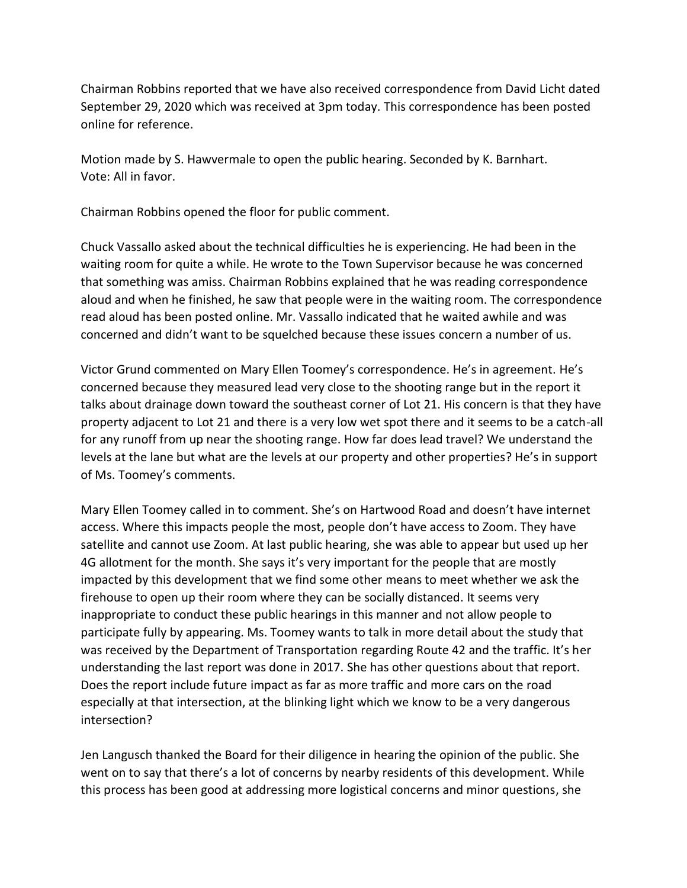Chairman Robbins reported that we have also received correspondence from David Licht dated September 29, 2020 which was received at 3pm today. This correspondence has been posted online for reference.

Motion made by S. Hawvermale to open the public hearing. Seconded by K. Barnhart. Vote: All in favor.

Chairman Robbins opened the floor for public comment.

Chuck Vassallo asked about the technical difficulties he is experiencing. He had been in the waiting room for quite a while. He wrote to the Town Supervisor because he was concerned that something was amiss. Chairman Robbins explained that he was reading correspondence aloud and when he finished, he saw that people were in the waiting room. The correspondence read aloud has been posted online. Mr. Vassallo indicated that he waited awhile and was concerned and didn't want to be squelched because these issues concern a number of us.

Victor Grund commented on Mary Ellen Toomey's correspondence. He's in agreement. He's concerned because they measured lead very close to the shooting range but in the report it talks about drainage down toward the southeast corner of Lot 21. His concern is that they have property adjacent to Lot 21 and there is a very low wet spot there and it seems to be a catch-all for any runoff from up near the shooting range. How far does lead travel? We understand the levels at the lane but what are the levels at our property and other properties? He's in support of Ms. Toomey's comments.

Mary Ellen Toomey called in to comment. She's on Hartwood Road and doesn't have internet access. Where this impacts people the most, people don't have access to Zoom. They have satellite and cannot use Zoom. At last public hearing, she was able to appear but used up her 4G allotment for the month. She says it's very important for the people that are mostly impacted by this development that we find some other means to meet whether we ask the firehouse to open up their room where they can be socially distanced. It seems very inappropriate to conduct these public hearings in this manner and not allow people to participate fully by appearing. Ms. Toomey wants to talk in more detail about the study that was received by the Department of Transportation regarding Route 42 and the traffic. It's her understanding the last report was done in 2017. She has other questions about that report. Does the report include future impact as far as more traffic and more cars on the road especially at that intersection, at the blinking light which we know to be a very dangerous intersection?

Jen Langusch thanked the Board for their diligence in hearing the opinion of the public. She went on to say that there's a lot of concerns by nearby residents of this development. While this process has been good at addressing more logistical concerns and minor questions, she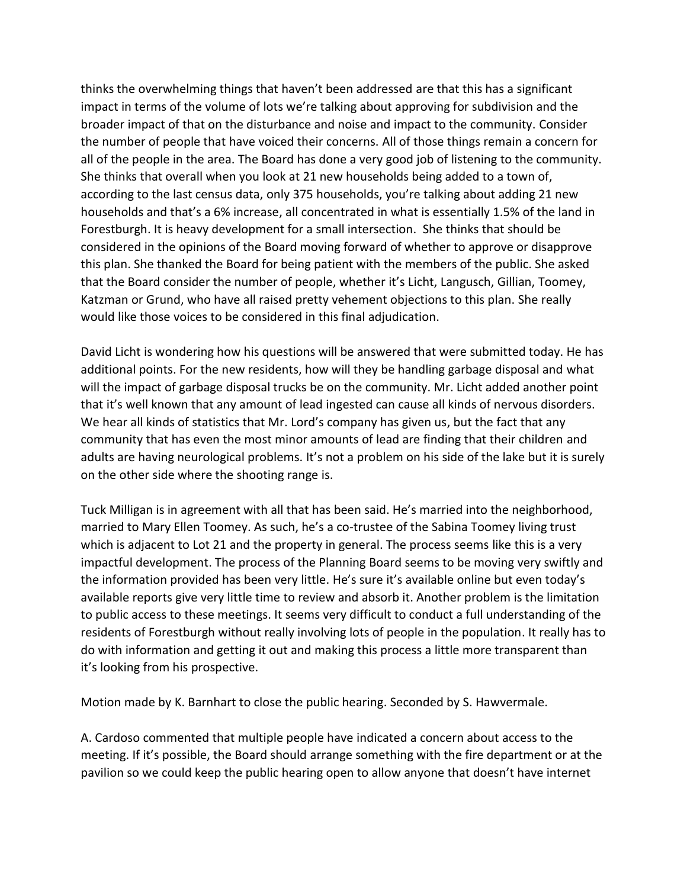thinks the overwhelming things that haven't been addressed are that this has a significant impact in terms of the volume of lots we're talking about approving for subdivision and the broader impact of that on the disturbance and noise and impact to the community. Consider the number of people that have voiced their concerns. All of those things remain a concern for all of the people in the area. The Board has done a very good job of listening to the community. She thinks that overall when you look at 21 new households being added to a town of, according to the last census data, only 375 households, you're talking about adding 21 new households and that's a 6% increase, all concentrated in what is essentially 1.5% of the land in Forestburgh. It is heavy development for a small intersection. She thinks that should be considered in the opinions of the Board moving forward of whether to approve or disapprove this plan. She thanked the Board for being patient with the members of the public. She asked that the Board consider the number of people, whether it's Licht, Langusch, Gillian, Toomey, Katzman or Grund, who have all raised pretty vehement objections to this plan. She really would like those voices to be considered in this final adjudication.

David Licht is wondering how his questions will be answered that were submitted today. He has additional points. For the new residents, how will they be handling garbage disposal and what will the impact of garbage disposal trucks be on the community. Mr. Licht added another point that it's well known that any amount of lead ingested can cause all kinds of nervous disorders. We hear all kinds of statistics that Mr. Lord's company has given us, but the fact that any community that has even the most minor amounts of lead are finding that their children and adults are having neurological problems. It's not a problem on his side of the lake but it is surely on the other side where the shooting range is.

Tuck Milligan is in agreement with all that has been said. He's married into the neighborhood, married to Mary Ellen Toomey. As such, he's a co-trustee of the Sabina Toomey living trust which is adjacent to Lot 21 and the property in general. The process seems like this is a very impactful development. The process of the Planning Board seems to be moving very swiftly and the information provided has been very little. He's sure it's available online but even today's available reports give very little time to review and absorb it. Another problem is the limitation to public access to these meetings. It seems very difficult to conduct a full understanding of the residents of Forestburgh without really involving lots of people in the population. It really has to do with information and getting it out and making this process a little more transparent than it's looking from his prospective.

Motion made by K. Barnhart to close the public hearing. Seconded by S. Hawvermale.

A. Cardoso commented that multiple people have indicated a concern about access to the meeting. If it's possible, the Board should arrange something with the fire department or at the pavilion so we could keep the public hearing open to allow anyone that doesn't have internet